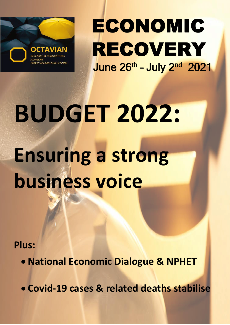

ECONOMIC RECOVERY June 26<sup>th</sup> - July 2<sup>nd</sup> 2021

**BUDGET 2022: Ensuring a strong business voice** 

**Plus:**

• **National Economic Dialogue & NPHET**

• **Covid-19 cases & related deaths stabilise**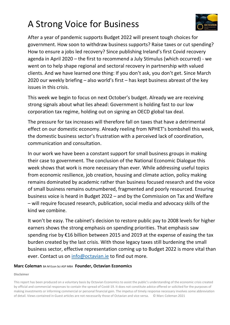# A Strong Voice for Business



After a year of pandemic supports Budget 2022 will present tough choices for government. How soon to withdraw business supports? Raise taxes or cut spending? How to ensure a jobs led recovery? Since publishing Ireland's first Covid recovery agenda in April 2020 – the first to recommend a July Stimulus (which occurred) - we went on to help shape regional and sectoral recovery in partnership with valued clients. And we have learned one thing: If you don't ask, you don't get. Since March 2020 our weekly briefing – also world's first – has kept business abreast of the key issues in this crisis.

This week we begin to focus on next October's budget. Already we are receiving strong signals about what lies ahead: Government is holding fast to our low corporation tax regime, holding out on signing an OECD global tax deal.

The pressure for tax increases will therefore fall on taxes that have a detrimental effect on our domestic economy. Already reeling from NPHET's bombshell this week, the domestic business sector's frustration with a perceived lack of coordination, communication and consultation.

In our work we have been a constant support for small business groups in making their case to government. The conclusion of the National Economic Dialogue this week shows that work is more necessary than ever. While addressing useful topics from economic resilience, job creation, housing and climate action, policy making remains dominated by academic rather than business focused research and the voice of small business remains outnumbered, fragmented and poorly resourced. Ensuring business voice is heard in Budget 2022 – and by the Commission on Tax and Welfare – will require focused research, publication, social media and advocacy skills of the kind we combine.

It won't be easy. The cabinet's decision to restore public pay to 2008 levels for higher earners shows the strong emphasis on spending priorities. That emphasis saw spending rise by €16 billion between 2015 and 2019 at the expense of easing the tax burden created by the last crisis. With those legacy taxes still burdening the small business sector, effective representation coming up to Budget 2022 is more vital than ever. Contact us on [info@octavian.ie](mailto:info@octavian.ie) to find out more.

#### **Marc Coleman** BA M Econ Sci ASP MBA **Founder, Octavian Economics**

#### **Disclaimer**

This report has been produced on a voluntary basis by Octavian Economics to assist the public's understanding of the economic crisis created by official and commercial responses to contain the spread of Covid-19. It does not constitute advice offered or solicited for the purposes of making investments or informing commercial or personal financial gain. The impetus of timely response necessary involves some abbreviation of detail. Views contained in Guest articles are not necessarily those of Octavian and vice-versa. © Marc Coleman 2021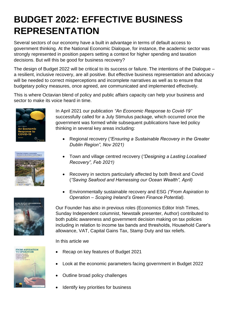# **BUDGET 2022: EFFECTIVE BUSINESS REPRESENTATION**

Several sectors of our economy have a built in advantage in terms of default access to government thinking. At the National Economic Dialogue, for instance, the academic sector was strongly represented in position papers setting a context for higher spending and taxation decisions. But will this be good for business recovery?

The design of Budget 2022 will be critical to its success or failure. The intentions of the Dialogue – a resilient, inclusive recovery, are all positive. But effective business representation and advocacy will be needed to correct misperceptions and incomplete narratives as well as to ensure that budgetary policy measures, once agreed, are communicated and implemented effectively.

This is where Octavian blend of policy and public affairs capacity can help your business and sector to make its voice heard in time.







In April 2021 our publication *"An Economic Response to Covid-19"* successfully called for a July Stimulus package, which occurred once the government was formed while subsequent publications have led policy thinking in several key areas including:

- Regional recovery (*"Ensuring a Sustainable Recovery in the Greater Dublin Region", Nov 2021)*
- Town and village centred recovery (*"Designing a Lasting Localised Recovery", Feb 2021)*
- Recovery in sectors particularly affected by both Brexit and Covid (*"Saving Seafood and Harnessing our Ocean Wealth", April)*
- Environmentally sustainable recovery and ESG *("From Aspiration to Operation – Scoping Ireland's Green Finance Potential).*

Our Founder has also in previous roles (Economics Editor Irish Times, Sunday Independent columnist, Newstalk presenter, Author) contributed to both public awareness and government decision making on tax policies including in relation to income tax bands and thresholds, Household Carer's allowance, VAT, Capital Gains Tax, Stamp Duty and tax reliefs.

In this article we



- Recap on key features of Budget 2021
- Look at the economic parameters facing government in Budget 2022
- Outline broad policy challenges
- Identify key priorities for business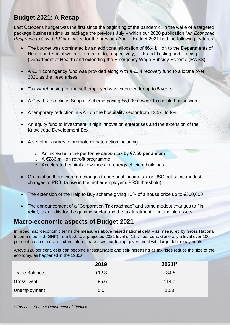## **Budget 2021: A Recap**

Last October's budget was the first since the beginning of the pandemic. In the wake of a targeted package business stimulus package the previous July – which our 2020 publication "*An Economic Response to Covid-19"* had called for the previous April – Budget 2021 had the following features:

- The budget was dominated by an additional allocation of €6.4 billion to the Departments of Health and Social welfare in relation to, respectively, PPE and Testing and Tracing (Department of Health) and extending the Emergency Wage Subsidy Scheme (EWSS).
- A  $\epsilon$ 2.1 contingency fund was provided along with a  $\epsilon$ 3.4 recovery fund to allocate over 2021 as the need arises.
- Tax warehousing for the self-employed was extended for up to 5 years
- A Covid Restrictions Support Scheme paying €5,000 a week to eligible businesses
- A temporary reduction in VAT on the hospitality sector from 13.5% to 9%
- An equity fund to investment in high innovation enterprises and the extension of the Knowledge Development Box
- A set of measures to promote climate action including
	- o An increase in the per tonne carbon tax by €7.50 per annum
	- o A €286 million retrofit programme
	- o Accelerated capital allowances for energy efficient buildings
- On taxation there were no changes to personal income tax or USC but some modest changes to PRSI (a rise in the higher employer's PRSI threshold)
- The extension of the Help to Buy scheme giving 10% of a house price up to  $€300,000$
- The announcement of a "Corporation Tax roadmap" and some modest changes to film relief, tax credits for the gaming sector and the tax treatment of intangible assets

## **Macro-economic aspects of Budget 2021**

In broad macroeconomic terms the measures above raised national debt – as measured by Gross National Income modified (GNI\*) from 95.6 to a projected 2021 level of 114.7 per cent. Generally a level over 100 per cent creates a risk of future interest rate rises burdening government with large debt repayments.

Above 120 per cent, debt can become unsustainable and self-increasing as tax rises reduce the size of the economy, as happened in the 1980s.

|                      | 2019    | $2021f^*$ |
|----------------------|---------|-----------|
| <b>Trade Balance</b> | $+12.3$ | $+34.8$   |
| <b>Gross Debt</b>    | 95.6    | 114.7     |
| Unemployment         | 5.0     | 10.3      |

*\* Forecast. Source: Department of Finance*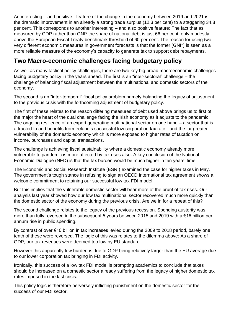An interesting – and positive - feature of the change in the economy between 2019 and 2021 is the dramatic improvement in an already a strong trade surplus (12.3 per cent) to a staggering 34.8 per cent. This corresponds to another interesting – and also positive feature: The fact that as measured by GDP rather than GNI\* the share of national debt is just 66 per cent, only modestly above the European Fiscal Treaty benchmark threshold of 60 per cent. The reason for using two very different economic measures in government forecasts is that the former (GNI\*) is seen as a more reliable measure of the economy's capacity to generate tax to support debt repayments.

## **Two Macro-economic challenges facing budgetary policy**

As well as many tactical policy challenges, there are two key big broad macroeconomic challenges facing budgetary policy in the years ahead. The first is an "inter-sectoral" challenge – the challenge of balancing fiscal adjustment between the multinational and domestic sectors of the economy.

The second is an "inter-temporal" fiscal policy problem namely balancing the legacy of adjustment to the previous crisis with the forthcoming adjustment of budgetary policy.

The first of these relates to the reason differing measures of debt used above brings us to first of the major the heart of the dual challenge facing the Irish economy as it adjusts to the pandemic: The ongoing resilience of an export generating multinational sector on one hand – a sector that is attracted to and benefits from Ireland's successful low corporation tax rate - and the far greater vulnerability of the domestic economy which is more exposed to higher rates of taxation on income, purchases and capital transactions.

The challenge is achieving fiscal sustainability where a domestic economy already more vulnerable to pandemic is more affected by tax rises also. A key conclusion of the National Economic Dialogue (NED) is that the tax burden would be much higher in ten years' time.

The Economic and Social Research Institute (ESRI) examined the case for higher taxes in May. The government's tough stance in refusing to sign an OECD international tax agreement shows a welcome commitment to retaining our successful low tax FDI model.

But this implies that the vulnerable domestic sector will bear more of the brunt of tax rises. Our analysis last year showed how our low tax multinational sector recovered much more quickly than the domestic sector of the economy during the previous crisis. Are we in for a repeat of this?

The second challenge relates to the legacy of the previous recession. Spending austerity was more than fully reversed in the subsequent 5 years between 2015 and 2019 with a €16 billion per annum rise in public spending.

By contrast of over €10 billion in tax increases levied during the 2009 to 2018 period, barely one tenth of these were reversed. The logic of this was relates to the dilemma above: As a share of GDP, our tax revenues were deemed too low by EU standard.

However this apparently low burden is due to GDP being relatively larger than the EU average due to our lower corporation tax bringing in FDI activity.

Ironically, this success of a low tax FDI model is prompting academics to conclude that taxes should be increased on a domestic sector already suffering from the legacy of higher domestic tax rates imposed in the last crisis.

This policy logic is therefore perversely inflicting punishment on the domestic sector for the success of our FDI sector.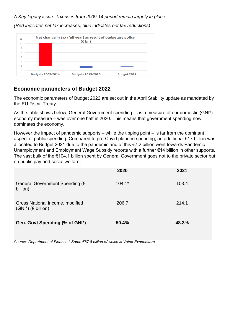### *A Key legacy issue: Tax rises from 2009-14 period remain largely in place*



*(Red indicates net tax increases, blue indicates net tax reductions)*

### **Economic parameters of Budget 2022**

The economic parameters of Budget 2022 are set out in the April Stability update as mandated by the EU Fiscal Treaty.

As the table shows below, General Government spending – as a measure of our domestic (GNI\*) economy measure – was over one half in 2020. This means that government spending now dominates the economy.

However the impact of pandemic supports – while the tipping point – is far from the dominant aspect of public spending. Compared to pre-Covid planned spending, an additional €17 billion was allocated to Budget 2021 due to the pandemic and of this €7.2 billion went towards Pandemic Unemployment and Employment Wage Subsidy reports with a further €14 billion in other supports. The vast bulk of the €104.1 billion spent by General Government goes not to the private sector but on public pay and social welfare.

|                                                               | 2020     | 2021  |
|---------------------------------------------------------------|----------|-------|
| General Government Spending (€<br>billion)                    | $104.1*$ | 103.4 |
| Gross National Income, modified<br>$(GNI^*)$ ( $\in$ billion) | 206.7    | 214.1 |
| Gen. Govt Spending (% of GNI*)                                | 50.4%    | 48.3% |

*Source: Department of Finance \* Some €87.8 billion of which is Voted Expenditure.*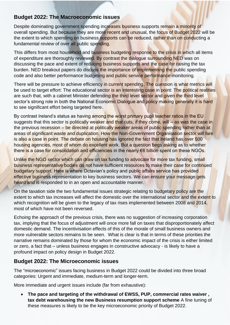### **Budget 2022: The Macroeconomic issues**

Despite dominating government spending increases business supports remain a minority of overall spending. But because they are more recent and unusual, the focus of Budget 2022 will be the extent to which spending on business supports can be reduced, rather than on conducting a fundamental review of over all public spending.

This differs from most household and business budgeting response to the crisis in which all items of expenditure are thoroughly reviewed. By contrast the dialogue surrounding NED was on discussing the pace and extent of reducing business supports and the case for raising the tax burden. NED breakout papers do discuss the importance of implementing the public spending code and also better performance budgeting and public service performance monitoring.

There will be pressure to achieve efficiency in current spending. The question is what metrics will be used to target effort: The educational sector is an interesting case in point: The political realities are such that, with a cabinet Minister defending the third level sector and given the third level sector's strong role in both the National Economic Dialogue and policy making generally it is hard to see significant effort being targeted here.

By contrast Ireland's status as having among the worst primary pupil teacher ratios in the EU suggests that this sector is politically weaker and that cuts, if they come, will – as was the case in the previous recession – be directed at politically weaker areas of public spending rather than at areas of significant waste and duplication. How the Non-Government Organisation sector will fare is also a case in point. The debate on housing has ignored the fact that Ireland has over 500 housing agencies, most of whom do excellent work. But a question begs asking as to whether there is a case for consolidation and efficiencies in the nearly €6 billion spent on these NGOs.

Unlike the NGO sector which can draw on tax funding to advocate for more tax funding, small business representative bodies do not have sufficient resources to make their case for continued budgetary support. Here is where Octavian's policy and public affairs service has provided effective business representation to key business sectors. We can ensure your message gets heard and is responded to in an open and accountable manner.

On the taxation side the two fundamental issues strategic relating to budgetary policy are the extent to which tax increases will affect the domestic over the international sector and the extent to which recognition will be given to the legacy of tax rises implemented between 2008 and 2014, most of which have not been reversed.

Echoing the approach of the previous crisis, there was no suggestion of increasing corporation tax, implying that the focus of adjustment will once more fall on taxes that disproportionately affect domestic demand. The incentivisation effects of this of the morale of small business owners and more vulnerable sectors remains to be seen. What is clear is that in terms of these priorities the narrative remains dominated by those for whom the economic impact of the crisis is either limited or zero, a fact that – unless business engages in constructive advocacy - is likely to have a profound impact on policy design in Budget 2022.

### **Budget 2022: The Microeconomic issues**

The "microeconomic" issues facing business in Budget 2022 could be divided into three broad categories: Urgent and immediate, medium-term and longer-term.

More immediate and urgent issues include (far from exhaustive):

• **The pace and targeting of the withdrawal of EWSS, PUP, commercial rates waiver , tax debt warehousing the new Business resumption support scheme** A fine tuning of these measures is likely to be the key microeconomic priority of Budget 2022.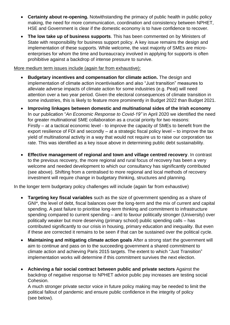- **Certainty about re-opening.** Notwithstanding the primacy of public health in public policy making, the need for more communication, coordination and consistency between NPHET, HSE and Government is clear if the domestic economy is to have confidence to recover.
- **The low take up of business supports**. This has been commented on by Ministers of State with responsibility for business support policy. A key issue remains the design and implementation of these supports. While welcome, the vast majority of SMEs are microenterprises for whom the time and bureaucracy involved in applying for supports is often prohibitive against a backdrop of intense pressure to survive.

More medium term issues include (again far from exhaustive):

- **Budgetary incentives and compensation for climate action.** The design and implementation of climate action incentivisation and also "Just transition" measures to alleviate adverse impacts of climate action for some industries (e.g. Peat) will need attention over a two year period. Given the electoral consequences of climate transition in some industries, this is likely to feature more prominently in Budget 2022 than Budget 2021.
- **Improving linkages between domestic and multinational sides of the Irish economy**  In our publication "*An Economic Response to Covid-19"* in April 2020 we identified the need for greater multinational SME collaboration as a crucial priority for two reasons: Firstly – at a tactical economic level - to improve the capacity of SMEs to benefit from the export resilience of FDI and secondly – at a strategic fiscal policy level – to improve the tax yield of multinational activity in a way that would not require us to raise our corporation tax rate. This was identified as a key issue above in determining public debt sustainability.
- **Effective management of regional and town and village centred recovery**. In contrast to the previous recovery, the more regional and rural focus of recovery has been a very welcome and needed development to which our consultancy has significantly contributed (see above). Shifting from a centralised to more regional and local methods of recovery investment will require change in budgetary thinking, structures and planning.

In the longer term budgetary policy challenges will include (again far from exhaustive)

- **Targeting key fiscal variables** such as the size of government spending as a share of GNI\*, the level of debt, fiscal balances over the long-term and the mix of current and capital spending. A past failure to prioritise long-term thinking and commitment to infrastructure spending compared to current spending – and to favour politically stronger (University) over politically weaker but more deserving (primary school) public spending calls – has contributed significantly to our crisis in housing, primary education and inequality. But even if these are corrected it remains to be seen if that can be sustained over the political cycle.
- **Maintaining and mitigating climate action goals** After a strong start the government will aim to continue and pass on to the succeeding government a shared commitment to climate action and achieving Paris 2015 targets. The extent to which "Just Transition" implementation works will determine if this commitment survives the next election.
- **Achieving a fair social contract between public and private sectors** Against the backdrop of negative response to NPHET advice public pay increases are testing social Cohesion.

A much stronger private sector voice in future policy making may be needed to limit the political fallout of pandemic and ensure public confidence in the integrity of policy (see below).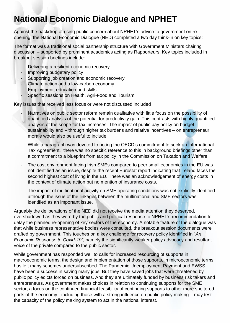# **National Economic Dialogue and NPHET**

Against the backdrop of rising public concern about NPHET's advice to government on reopening, the National Economic Dialogue (NED) completed a two day think-in on key topics:

The format was a traditional social partnership structure with Government Ministers chairing discussion – supported by prominent academics acting as Rapporteurs. Key topics included in breakout session briefings include:

- Delivering a resilient economic recovery
- Improving budgetary policy
- Supporting job creation and economic recovery
- Climate action and a low-carbon economy
- Employment, education and skills
- Specific sessions on Health, Agri-Food and Tourism

Key issues that received less focus or were not discussed included

- Narratives on public sector reform remain qualitative with little focus on the possibility of quantified analysis of the potential for productivity gain. This contrasts with highly quantified analysis of the scope for tax increases. The impact of public pay policy on budget sustainability and – through higher tax burdens and relative incentives – on entrepreneur morale would also be useful to include.
- While a paragraph was devoted to noting the OECD's commitment to seek an International Tax Agreement, there was no specific reference to this in background briefings other than a commitment to a blueprint from tax policy in the Commission on Taxation and Welfare.
- The cost environment facing Irish SMEs compared to peer small economies in the EU was not identified as an issue, despite the recent Eurostat report indicating that Ireland faces the second highest cost of living in the EU. There was an acknowledgement of energy costs in the context of climate action but no mention of insurance costs.
- The impact of multinational activity on SME operating conditions was not explicitly identified although the issue of the linkages between the multinational and SME sectors was identified as an important issue.

Arguably the deliberations of the NED did not receive the media attention they deserved, overshadowed as they were by the public and political response to NPHET's recommendation to delay the planned re-opening of key sectors of the economy. A notable feature of the dialogue was that while business representative bodies were consulted, the breakout session documents were drafted by government. This touches on a key challenge for recovery policy identified in "*An Economic Response to Covid-19"*, namely the significantly weaker policy advocacy and resultant voice of the private compared to the public sector.

While government has responded well to calls for increased resourcing of supports in macroeconomic terms, the design and implementation of those supports, in microeconomic terms, has left many schemes undersubscribed. The Pandemic Unemployment Payment and EWSS have been a success in saving many jobs. But they have saved jobs that were threatened by public policy edicts forced on business. And they are ultimately funded by business risk takers and entrepreneurs. As government makes choices in relation to continuing supports for the SME sector, a focus on the continued financial feasibility of continuing supports to other more sheltered parts of the economy - including those with a strong influence on public policy making – may test the capacity of the policy making system to act in the national interest.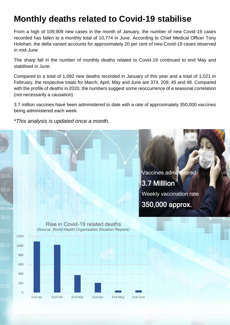## **Monthly deaths related to Covid-19 stabilise**

From a high of 109,909 new cases in the month of January, the number of new Covid-19 cases recorded has fallen to a monthly total of 10,774 in June. According to Chief Medical Officer Tony Holohan, the delta variant accounts for approximately 20 per cent of new Covid-19 cases observed in mid-June

The sharp fall in the number of monthly deaths related to Covid-19 continued to end May and stabilised in June.

Compared to a total of 1,092 new deaths recorded in January of this year and a total of 1,021 in February, the respective totals for March, April, May and June are 374, 209, 45 and 48. Compared with the profile of deaths in 2020, the numbers suggest some reoccurrence of a seasonal correlation (not necessarily a causation).

3.7 million vaccines have been administered to date with a rate of approximately 350,000 vaccines being administered each week.

*\*This analysis is updated once a month.*